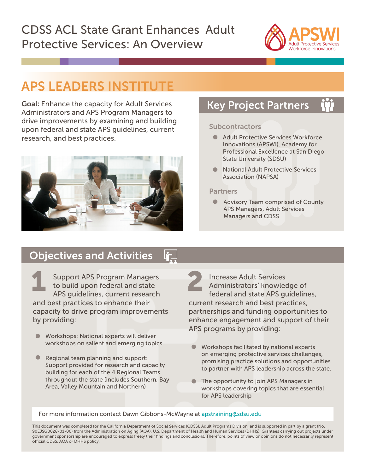# CDSS ACL State Grant Enhances Adult Protective Services: An Overview



# APS LEADERS INSTITUTE

Goal: Enhance the capacity for Adult Services Administrators and APS Program Managers to drive improvements by examining and building upon federal and state APS guidelines, current research, and best practices.



## Key Project Partners

### Subcontractors

- **Adult Protective Services Workforce** Innovations (APSWI), Academy for Professional Excellence at San Diego State University (SDSU)
- National Adult Protective Services Association (NAPSA)

### Partners

 $\bullet$ Advisory Team comprised of County APS Managers, Adult Services Managers and CDSS

## Objectives and Activities

Support APS Program Managers<br>to build upon federal and state<br>APS quidelines current research  $\blacksquare$  to build upon federal and state APS guidelines, current research and best practices to enhance their capacity to drive program improvements by providing:

- Workshops: National experts will deliver workshops on salient and emerging topics Workshops facilitated by national experts
- Regional team planning and support: Support provided for research and capacity building for each of the 4 Regional Teams throughout the state (includes Southern, Bay Area, Valley Mountain and Northern)

 Increase Adult Services Administrators' knowledge of federal and state APS guidelines, current research and best practices, partnerships and funding opportunities to enhance engagement and support of their APS programs by providing:

- on emerging protective services challenges, promising practice solutions and opportunities to partner with APS leadership across the state.
- The opportunity to join APS Managers in workshops covering topics that are essential for APS leadership

### For more information contact Dawn Gibbons-McWayne at apstraining@sdsu.edu

This document was completed for the California Department of Social Services (CDSS), Adult Programs Division, and is supported in part by a grant (No. 90EJSG0028-01-00) from the Administration on Aging (AOA), U.S. Department of Health and Human Services (DHHS). Grantees carrying out projects under government sponsorship are encouraged to express freely their findings and conclusions. Therefore, points of view or opinions do not necessarily represent official CDSS, AOA or DHHS policy.